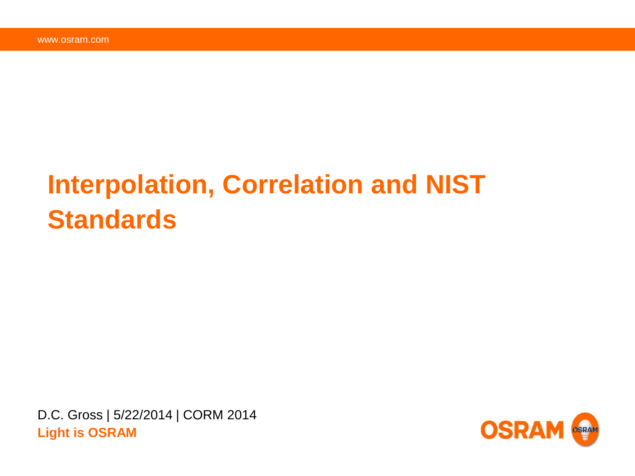# **Interpolation, Correlation and NIST Standards**

D.C. Gross | 5/22/2014 | CORM 2014 **Light is OSRAM**

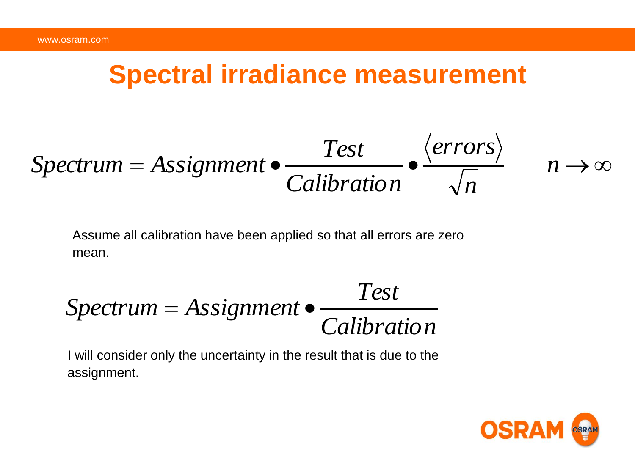#### **Spectral irradiance measurement**

$$
Spectrum = Assignment \bullet \frac{Test}{Calibration} \bullet \frac{\langle errors \rangle}{\sqrt{n}} \qquad n \to \infty
$$

Assume all calibration have been applied so that all errors are zero mean.

$$
Spectrum = Assignment \bullet \frac{Test}{Calibration}
$$

I will consider only the uncertainty in the result that is due to the assignment.

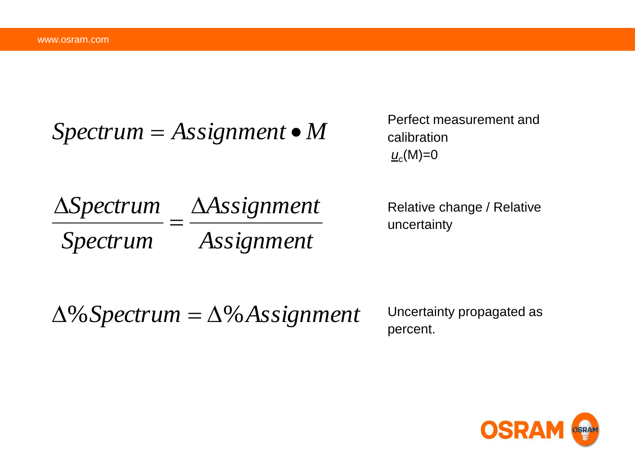$$
Spectrum = Assignment \bullet M
$$

Perfect measurement and calibration *u*c (M)=0

*Assignment Assignment Spectrum Spectrum*  $=$  $\Delta$ 

Relative change / Relative uncertainty

 $\Delta\%$  Spectrum =  $\Delta\%$  Assignment

Uncertainty propagated as percent.

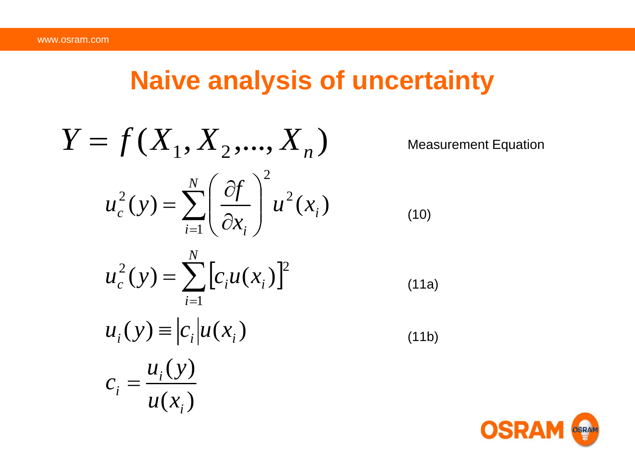## **Naive analysis of uncertainty**

$$
Y = f(X_1, X_2, ..., X_n)
$$
 Measurement Equation  

$$
u_c^2(y) = \sum_{i=1}^N \left(\frac{\partial f}{\partial x_i}\right)^2 u^2(x_i)
$$
(10)
$$
u_c^2(y) = \sum_{i=1}^N \left[c_i u(x_i)\right]^2
$$
(11a)
$$
u_i(y) \equiv |c_i| u(x_i)
$$
(11b)
$$
c_i = \frac{u_i(y)}{u(x_i)}
$$

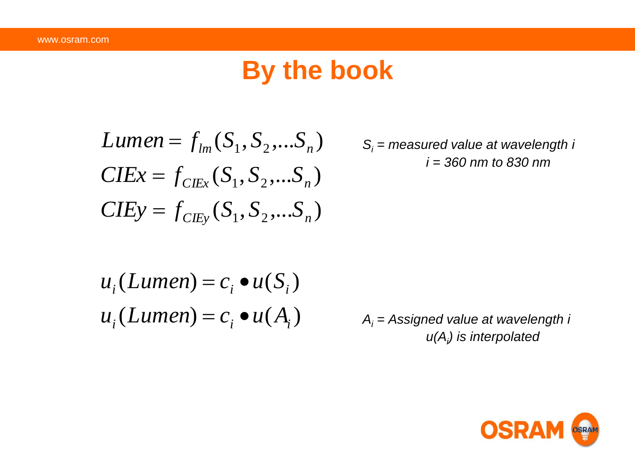### **By the book**

Lumen = 
$$
f_{lm}(S_1, S_2,...S_n)
$$
  
\n $CIEx = f_{CIEx}(S_1, S_2,...S_n)$   
\n $CIEy = f_{CIEy}(S_1, S_2,...S_n)$ 

*S<sup>i</sup> = measured value at wavelength i i = 360 nm to 830 nm*

$$
u_i(Lumen) = c_i \bullet u(S_i)
$$
  

$$
u_i(Lumen) = c_i \bullet u(A_i)
$$

*A<sup>i</sup> = Assigned value at wavelength i u(A<sup>i</sup> ) is interpolated*

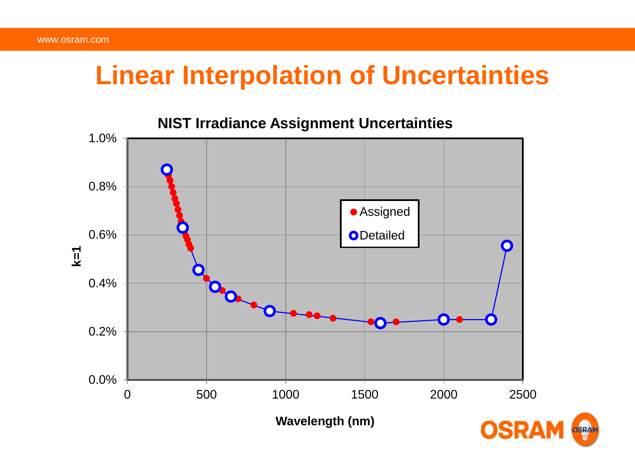## **Linear Interpolation of Uncertainties**

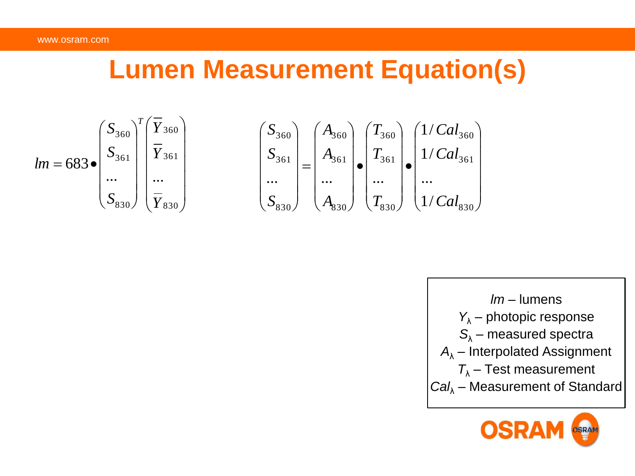# **Lumen Measurement Equation(s)**

$$
lm = 683 \bullet \begin{pmatrix} S_{360} \\ S_{361} \\ \cdots \\ S_{830} \end{pmatrix}^T \begin{pmatrix} \overline{Y}_{360} \\ \overline{Y}_{361} \\ \cdots \\ \overline{Y}_{830} \end{pmatrix} \qquad \qquad \begin{pmatrix} S_{360} \\ S_{361} \\ \cdots \\ S_{830} \end{pmatrix} = \begin{pmatrix} A_{360} \\ A_{361} \\ \cdots \\ A_{830} \end{pmatrix} \bullet \begin{pmatrix} T_{360} \\ T_{361} \\ \cdots \\ T_{830} \end{pmatrix} \bullet \begin{pmatrix} 1/Cal_{360} \\ 1/Cal_{361} \\ \cdots \\ 1/Cal_{830} \end{pmatrix}
$$



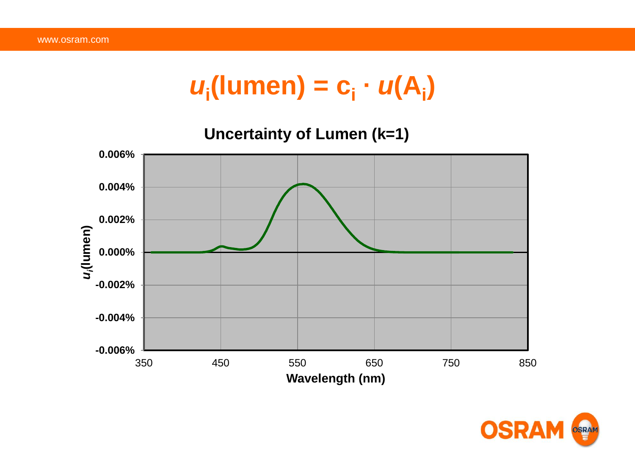# $u_i$ (lumen) =  $c_i \cdot u(A_i)$



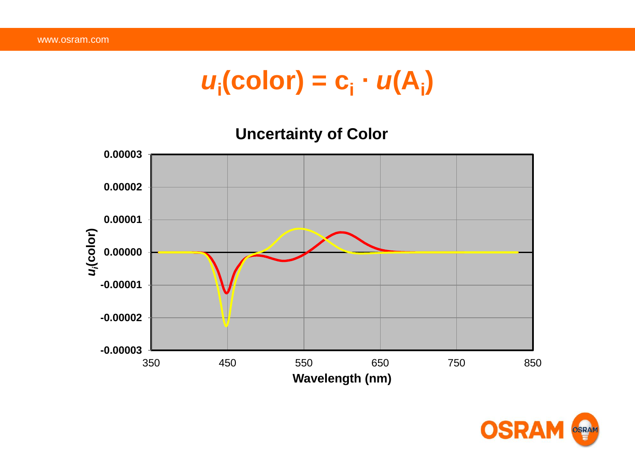# $u_i$ (color) = c<sub>i</sub> ·  $u(A_i)$

#### **Uncertainty of Color**



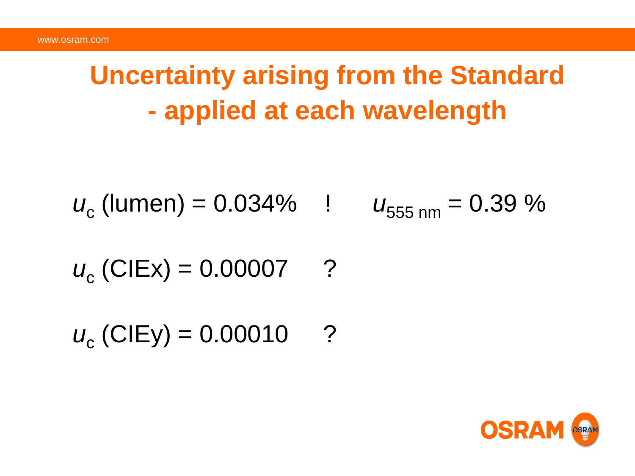# **Uncertainty arising from the Standard - applied at each wavelength**

$$
u_c
$$
 (lumen) = 0.034%  $u_{555 \text{ nm}} = 0.39 \%$ 

$$
u_c
$$
 (CIEx) = 0.00007 ?

 $u_c$  (CIEy) = 0.00010 ?

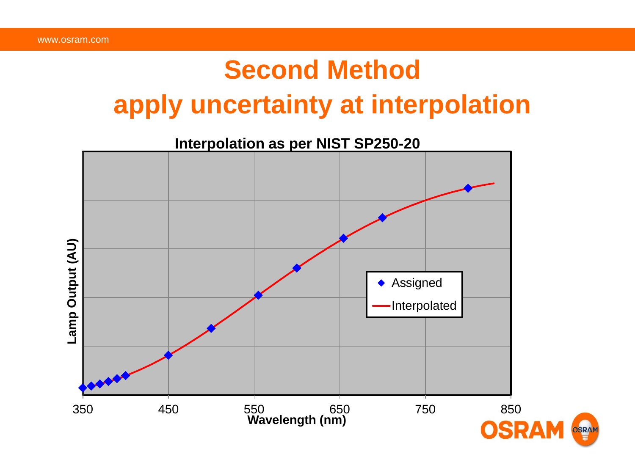# **Second Method apply uncertainty at interpolation**

**Interpolation as per NIST SP250-20**

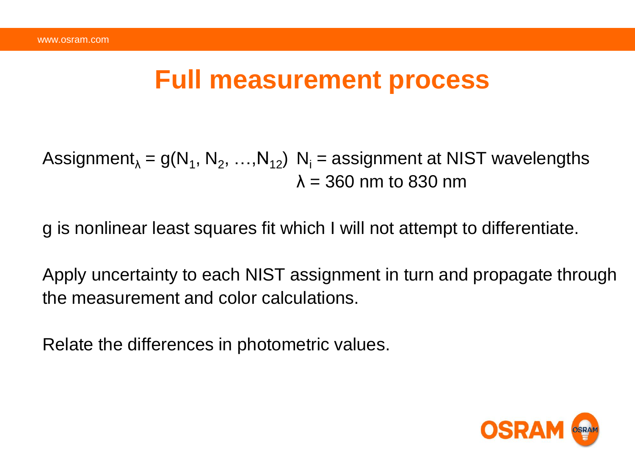#### **Full measurement process**

Assignment<sub> $\lambda$ </sub> = g(N<sub>1</sub>, N<sub>2</sub>, …,N<sub>12</sub>) N<sub>i</sub> = assignment at NIST wavelengths  $\lambda = 360$  nm to 830 nm

g is nonlinear least squares fit which I will not attempt to differentiate.

Apply uncertainty to each NIST assignment in turn and propagate through the measurement and color calculations.

Relate the differences in photometric values.

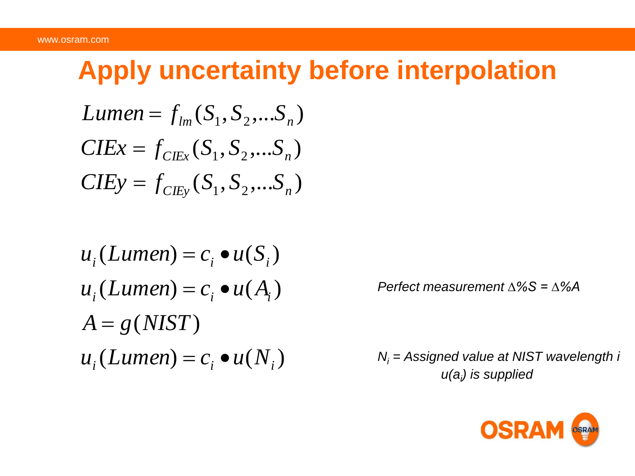# **Apply uncertainty before interpolation**

Lumen = 
$$
f_{lm}(S_1, S_2, ... S_n)
$$
  
CIEx =  $f_{CIEx}(S_1, S_2, ... S_n)$   
CIEy =  $f_{CIEy}(S_1, S_2, ... S_n)$ 

$$
u_i(Lumen) = c_i \bullet u(S_i)
$$
  
\n
$$
u_i(Lumen) = c_i \bullet u(A_i)
$$
  
\n
$$
A = g(NIST)
$$
  
\n
$$
u_i(Lumen) = c_i \bullet u(N_i)
$$

*Perfect measurement ∆%S = ∆%A* 

*N<sup>i</sup> = Assigned value at NIST wavelength i u(a<sup>i</sup> ) is supplied*

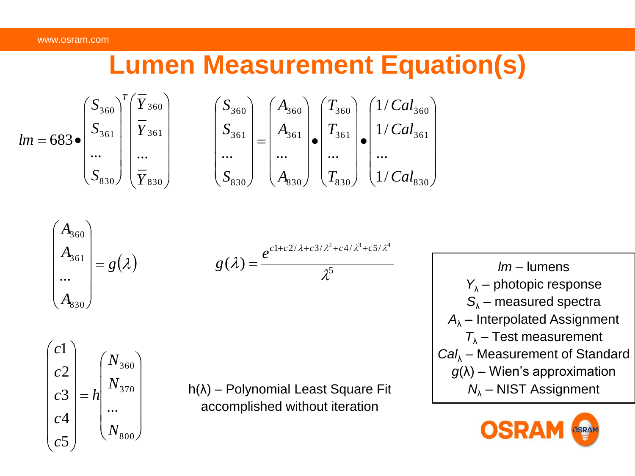# **Lumen Measurement Equation(s)**

$$
lm = 683 \bullet \begin{pmatrix} S_{360} \\ S_{361} \\ \cdots \\ S_{830} \end{pmatrix}^T \begin{pmatrix} \overline{Y}_{360} \\ \overline{Y}_{361} \\ \cdots \\ \overline{Y}_{830} \end{pmatrix} \qquad \qquad \begin{pmatrix} S_{360} \\ S_{361} \\ \cdots \\ S_{830} \end{pmatrix} = \begin{pmatrix} A_{360} \\ A_{361} \\ \cdots \\ A_{830} \end{pmatrix} \bullet \begin{pmatrix} T_{360} \\ T_{361} \\ \cdots \\ T_{830} \end{pmatrix} \bullet \begin{pmatrix} 1/Cal_{360} \\ 1/Cal_{361} \\ \cdots \\ 1/Cal_{830} \end{pmatrix}
$$

$$
\begin{pmatrix}\nA_{360} \\
A_{361} \\
\vdots \\
A_{330}\n\end{pmatrix} = g(\lambda) \qquad \qquad g(\lambda) = \frac{e^{c1 + c2/\lambda + c3/\lambda^2 + c4/\lambda^3 + c5/\lambda^4}}{\lambda^5}
$$

$$
\begin{pmatrix} c1 \\ c2 \\ c3 \\ c4 \\ c5 \end{pmatrix} = h \begin{pmatrix} N_{360} \\ N_{370} \\ \cdots \\ N_{800} \end{pmatrix}
$$

h(λ) – Polynomial Least Square Fit accomplished without iteration

*lm* – lumens *Y*<sup>λ</sup> – photopic response *S*<sup>λ</sup> – measured spectra *A*<sup>λ</sup> – Interpolated Assignment *T*<sup>λ</sup> – Test measurement *Cal*<sup>λ</sup> – Measurement of Standard *g*(λ) – Wien's approximation *N*<sup>λ</sup> – NIST Assignment

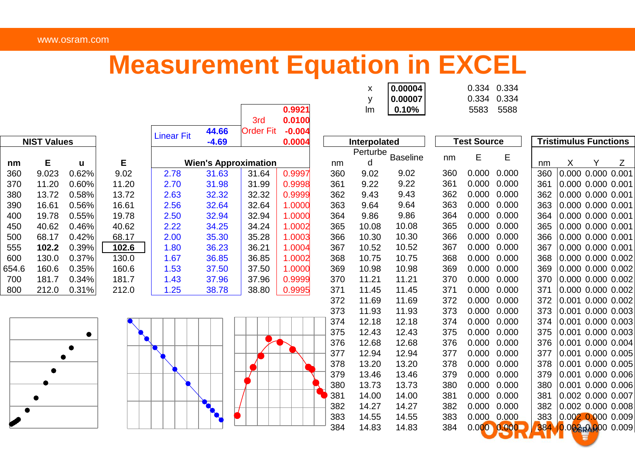#### www.osram.com

### **Measurement Equation in EXCEL**

|                    |       |       |       |                              |       | 3rd                         | <b>U.JJZ 1</b><br>0.0100 |     | ,,,,,        | <b>U.IU70</b>   |     | ບບບບ               | JJ∪∪  |                              |                        |  |   |  |
|--------------------|-------|-------|-------|------------------------------|-------|-----------------------------|--------------------------|-----|--------------|-----------------|-----|--------------------|-------|------------------------------|------------------------|--|---|--|
|                    |       |       |       |                              | 44.66 | <b>Order Fit</b>            | $-0.004$                 |     |              |                 |     |                    |       |                              |                        |  |   |  |
| <b>NIST Values</b> |       |       |       | <b>Linear Fit</b><br>$-4.69$ |       |                             | 0.0004                   |     | Interpolated |                 |     | <b>Test Source</b> |       | <b>Tristimulus Functions</b> |                        |  |   |  |
|                    |       |       |       |                              |       |                             |                          |     | Perturbe     | <b>Baseline</b> | nm  | E                  | Е     |                              |                        |  |   |  |
| nm                 | Е     | u     | Е     |                              |       | <b>Wien's Approximation</b> |                          | nm  | d            |                 |     |                    |       | nm                           | x                      |  | Ζ |  |
| 360                | 9.023 | 0.62% | 9.02  | 2.78                         | 31.63 | 31.64                       | 0.9997                   | 360 | 9.02         | 9.02            | 360 | 0.000              | 0.000 | 360                          | 0.000 0.000 0.001      |  |   |  |
| 370                | 11.20 | 0.60% | 11.20 | 2.70                         | 31.98 | 31.99                       | 0.9998                   | 361 | 9.22         | 9.22            | 361 | 0.000              | 0.000 | 361                          | 0.000 0.000 0.001      |  |   |  |
| 380                | 13.72 | 0.58% | 13.72 | 2.63                         | 32.32 | 32.32                       | 0.9999                   | 362 | 9.43         | 9.43            | 362 | 0.000              | 0.000 | 362                          | 0.000 0.000 0.001      |  |   |  |
| 390                | 16.61 | 0.56% | 16.61 | 2.56                         | 32.64 | 32.64                       | 1.0000                   | 363 | 9.64         | 9.64            | 363 | 0.000              | 0.000 | 363                          | 0.000 0.000 0.001      |  |   |  |
| 400                | 19.78 | 0.55% | 19.78 | 2.50                         | 32.94 | 32.94                       | 1.0000                   | 364 | 9.86         | 9.86            | 364 | 0.000              | 0.000 | 364                          | 0.000 0.000 0.001      |  |   |  |
| 450                | 40.62 | 0.46% | 40.62 | 2.22                         | 34.25 | 34.24                       | 1.0002                   | 365 | 10.08        | 10.08           | 365 | 0.000              | 0.000 | 365                          | $ 0.000\>$ 0.000 0.001 |  |   |  |
| 500                | 68.17 | 0.42% | 68.17 | 2.00                         | 35.30 | 35.28                       | 1.0003                   | 366 | 10.30        | 10.30           | 366 | 0.000              | 0.000 | 366                          | $ 0.000\>$ 0.000 0.001 |  |   |  |
| 555                | 102.2 | 0.39% | 102.6 | 1.80                         | 36.23 | 36.21                       | 1.0004                   | 367 | 10.52        | 10.52           | 367 | 0.000              | 0.000 | 367                          | 10.000 0.000 0.001     |  |   |  |
| 600                | 130.0 | 0.37% | 130.0 | 1.67                         | 36.85 | 36.85                       | 1.0002                   | 368 | 10.75        | 10.75           | 368 | 0.000              | 0.000 | 368                          | 0.00000.00000.002      |  |   |  |
| 654.6              | 160.6 | 0.35% | 160.6 | 1.53                         | 37.50 | 37.50                       | 0.0000                   | 369 | 10.98        | 10.98           | 369 | 0.000              | 0.000 | 369                          | $ 0.000\;0.000\;0.002$ |  |   |  |
| 700                | 181.7 | 0.34% | 181.7 | 1.43                         | 37.96 | 37.96                       | 0.9999                   | 370 | 11.21        | 11.21           | 370 | 0.000              | 0.000 | 370                          | 0.00000.00000.002      |  |   |  |
| 800                | 212.0 | 0.31% | 212.0 | 1.25                         | 38.78 | 38.80                       | 0.9995                   | 371 | 11.45        | 11.45           | 371 | 0.000              | 0.000 | 371                          | 0.00000.00000.002      |  |   |  |
|                    |       |       |       |                              |       |                             |                          | 372 | 11.69        | 11.69           | 372 | 0.000              | 0.000 | 372                          | $ 0.001$ 0.000 0.002   |  |   |  |
|                    |       |       |       |                              |       |                             |                          |     |              |                 |     |                    |       |                              |                        |  |   |  |







|        | 0.00004             | 0.334 0.334 |           |
|--------|---------------------|-------------|-----------|
|        | 0.00007             | 0.334 0.334 |           |
| 0.9921 | $\text{Im}$   0.10% |             | 5583 5588 |

| <b>NIST Values</b> |       |       |       | Lınear Fıt | $-4.69$                     |       | 0.0004 |     | Interpolated  |          |     |     | <b>Test Source</b> |             | <b>Tristimulus Functions</b> |                   |                   |   |  |
|--------------------|-------|-------|-------|------------|-----------------------------|-------|--------|-----|---------------|----------|-----|-----|--------------------|-------------|------------------------------|-------------------|-------------------|---|--|
|                    | Е     | u     | E     |            | <b>Wien's Approximation</b> |       |        | nm  | Perturbe<br>d | Baseline |     | nm  | E                  | E           | nm                           | X                 | Y                 | Z |  |
|                    | 9.023 | 0.62% | 9.02  | 2.78       | 31.63                       | 31.64 | 0.9997 | 360 | 9.02          | 9.02     |     | 360 | 0.000              | 0.000       | 360                          |                   | 0.000 0.000 0.001 |   |  |
|                    | 11.20 | 0.60% | 11.20 | 2.70       | 31.98                       | 31.99 | 0.9998 | 361 | 9.22          | 9.22     | 361 |     | 0.000              | 0.000       | 361                          |                   | 0.000 0.000 0.001 |   |  |
|                    | 13.72 | 0.58% | 13.72 | 2.63       | 32.32                       | 32.32 | 0.9999 | 362 | 9.43          | 9.43     |     | 362 | 0.000              | 0.000       | 362                          |                   | 0.000 0.000 0.001 |   |  |
|                    | 16.61 | 0.56% | 16.61 | 2.56       | 32.64                       | 32.64 | 1.0000 | 363 | 9.64          | 9.64     |     | 363 | 0.000              | 0.000       | 363                          |                   | 0.000 0.000 0.001 |   |  |
|                    | 19.78 | 0.55% | 19.78 | 2.50       | 32.94                       | 32.94 | 1.0000 | 364 | 9.86          | 9.86     |     | 364 | 0.000              | 0.000       | 364                          |                   | 0.000 0.000 0.001 |   |  |
|                    | 40.62 | 0.46% | 40.62 | 2.22       | 34.25                       | 34.24 | 1.0002 | 365 | 10.08         | 10.08    |     | 365 | 0.000              | 0.000       | 365                          |                   | 0.000 0.000 0.001 |   |  |
|                    | 68.17 | 0.42% | 68.17 | 2.00       | 35.30                       | 35.28 | 1.0003 | 366 | 10.30         | 10.30    |     | 366 | 0.000              | 0.000       | 366                          |                   | 0.000 0.000 0.001 |   |  |
|                    | 102.2 | 0.39% | 102.6 | 1.80       | 36.23                       | 36.21 | 1.0004 | 367 | 10.52         | 10.52    |     | 367 | 0.000              | 0.000       | 367                          |                   | 0.000 0.000 0.001 |   |  |
|                    | 130.0 | 0.37% | 130.0 | 1.67       | 36.85                       | 36.85 | 1.0002 | 368 | 10.75         | 10.75    |     | 368 | 0.000              | 0.000       | 368                          |                   | 0.000 0.000 0.002 |   |  |
|                    | 160.6 | 0.35% | 160.6 | 1.53       | 37.50                       | 37.50 | 1.0000 | 369 | 10.98         | 10.98    |     | 369 | 0.000              | 0.000       | 369                          |                   | 0.000 0.000 0.002 |   |  |
|                    | 181.7 | 0.34% | 181.7 | 1.43       | 37.96                       | 37.96 | 0.9999 | 370 | 11.21         | 11.21    |     | 370 | 0.000              | 0.000       | 370                          |                   | 0.000 0.000 0.002 |   |  |
|                    | 212.0 | 0.31% | 212.0 | 1.25       | 38.78                       | 38.80 | 0.9995 | 371 | 11.45         | 11.45    | 371 |     | 0.000              | 0.000       | 371                          |                   | 0.000 0.000 0.002 |   |  |
|                    |       |       |       |            |                             |       |        | 372 | 11.69         | 11.69    |     | 372 | 0.000              | 0.000       | 372                          |                   | 0.001 0.000 0.002 |   |  |
|                    |       |       |       |            |                             |       |        | 373 | 11.93         | 11.93    |     | 373 | 0.000              | 0.000       | 373                          |                   | 0.001 0.000 0.003 |   |  |
|                    |       |       |       |            |                             |       |        | 374 | 12.18         | 12.18    |     | 374 | 0.000              | 0.000       | 374                          |                   | 0.001 0.000 0.003 |   |  |
|                    |       |       |       |            |                             |       |        | 375 | 12.43         | 12.43    |     | 375 | 0.000              | 0.000       | 375                          |                   | 0.001 0.000 0.003 |   |  |
|                    |       |       |       |            |                             |       |        | 376 | 12.68         | 12.68    |     | 376 | 0.000              | 0.000       | 376                          |                   | 0.001 0.000 0.004 |   |  |
|                    |       |       |       |            |                             |       |        | 377 | 12.94         | 12.94    |     | 377 | 0.000              | 0.000       | 377                          |                   | 0.001 0.000 0.005 |   |  |
|                    |       |       |       |            |                             |       |        | 378 | 13.20         | 13.20    |     | 378 | 0.000              | 0.000       | 378                          |                   | 0.001 0.000 0.005 |   |  |
|                    |       |       |       |            |                             |       |        | 379 | 13.46         | 13.46    |     | 379 | 0.000              | 0.000       | 379                          |                   | 0.001 0.000 0.006 |   |  |
|                    |       |       |       |            |                             |       |        | 380 | 13.73         | 13.73    |     | 380 | 0.000              | 0.000       | 380                          |                   | 0.001 0.000 0.006 |   |  |
|                    |       |       |       |            |                             |       |        | 381 | 14.00         | 14.00    | 381 |     | 0.000              | 0.000       | 381                          |                   | 0.002 0.000 0.007 |   |  |
| $\bullet$          |       |       |       |            |                             |       |        | 382 | 14.27         | 14.27    |     | 382 | 0.000              | 0.000       | 382                          |                   | 0.002 0.000 0.008 |   |  |
|                    |       |       |       |            |                             |       |        | 383 | 14.55         | 14.55    |     | 383 | 0.000 0.000        |             | 383                          | 0.002 0.000 0.009 |                   |   |  |
|                    |       |       |       |            |                             |       |        | 384 | 14.83         | 14.83    |     | 384 |                    | 0.000000000 | <b>384</b>                   |                   | 0.002RA000 0.009  |   |  |
|                    |       |       |       |            |                             |       |        |     |               |          |     |     |                    |             |                              |                   |                   |   |  |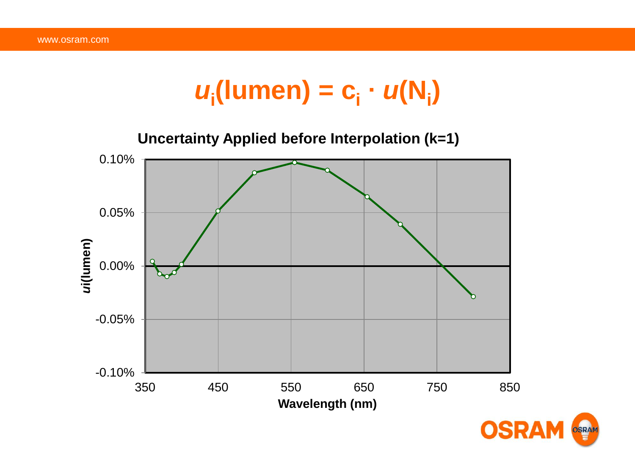# $u_i$ (lumen) =  $c_i \cdot u(N_i)$



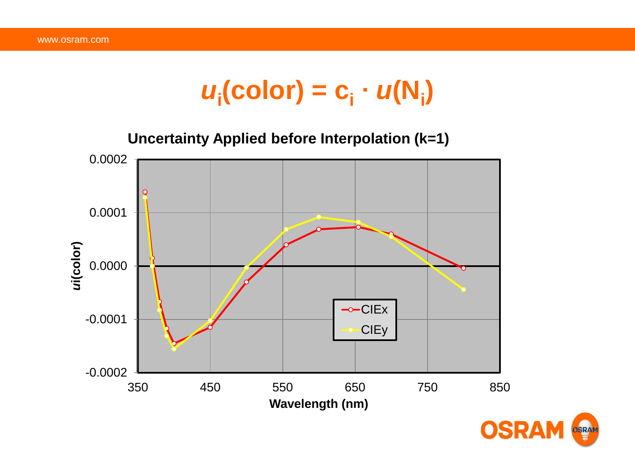# $u_i$ (color) = c<sub>i</sub> ·  $u(N_i)$

**Uncertainty Applied before Interpolation (k=1)**



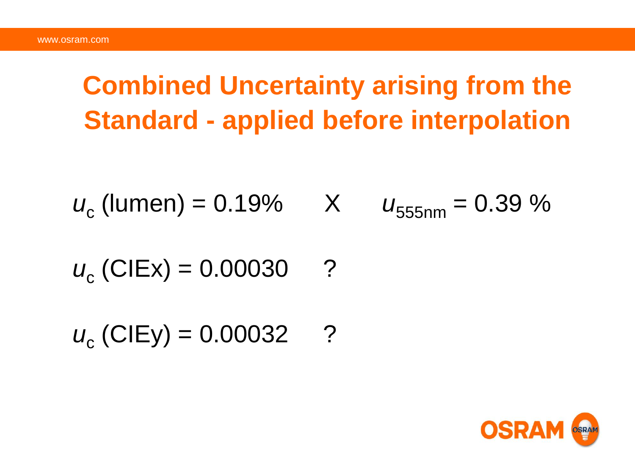# **Combined Uncertainty arising from the Standard - applied before interpolation**

$$
u_c
$$
 (lumen) = 0.19% X  $u_{555nm} = 0.39$  %

$$
u_c
$$
 (CIEx) = 0.00030 ?

 $u_c$  (CIEy) = 0.00032 ?

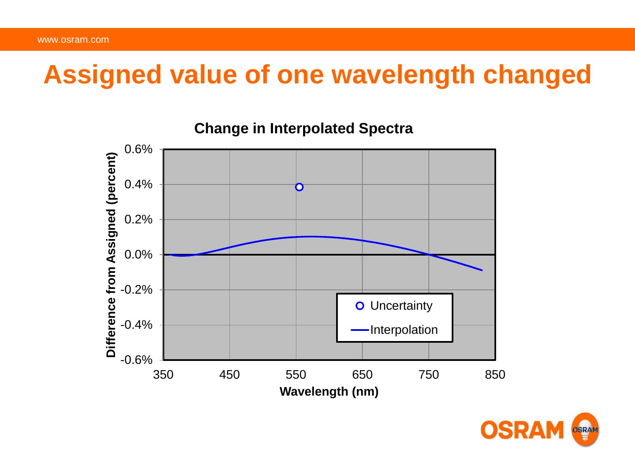## **Assigned value of one wavelength changed**



**Change in Interpolated Spectra**

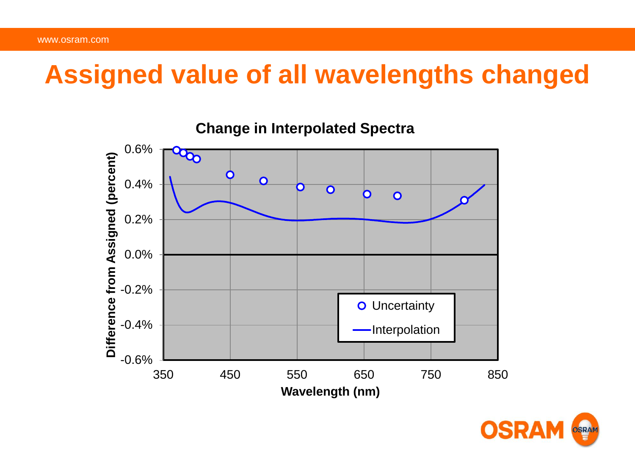### **Assigned value of all wavelengths changed**



**Change in Interpolated Spectra**

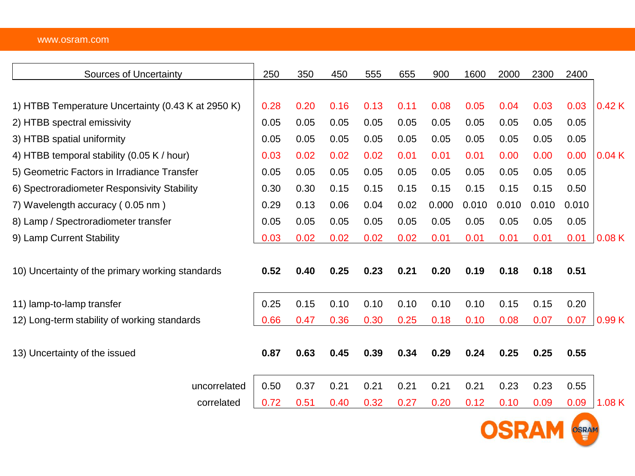#### www.osram.com

| <b>Sources of Uncertainty</b>                      | 250  | 350  | 450  | 555  | 655  | 900   | 1600  | 2000  | 2300  | 2400  |       |
|----------------------------------------------------|------|------|------|------|------|-------|-------|-------|-------|-------|-------|
|                                                    |      |      |      |      |      |       |       |       |       |       |       |
| 1) HTBB Temperature Uncertainty (0.43 K at 2950 K) | 0.28 | 0.20 | 0.16 | 0.13 | 0.11 | 0.08  | 0.05  | 0.04  | 0.03  | 0.03  | 0.42K |
| 2) HTBB spectral emissivity                        | 0.05 | 0.05 | 0.05 | 0.05 | 0.05 | 0.05  | 0.05  | 0.05  | 0.05  | 0.05  |       |
| 3) HTBB spatial uniformity                         | 0.05 | 0.05 | 0.05 | 0.05 | 0.05 | 0.05  | 0.05  | 0.05  | 0.05  | 0.05  |       |
| 4) HTBB temporal stability (0.05 K / hour)         | 0.03 | 0.02 | 0.02 | 0.02 | 0.01 | 0.01  | 0.01  | 0.00  | 0.00  | 0.00  | 0.04K |
| 5) Geometric Factors in Irradiance Transfer        | 0.05 | 0.05 | 0.05 | 0.05 | 0.05 | 0.05  | 0.05  | 0.05  | 0.05  | 0.05  |       |
| 6) Spectroradiometer Responsivity Stability        | 0.30 | 0.30 | 0.15 | 0.15 | 0.15 | 0.15  | 0.15  | 0.15  | 0.15  | 0.50  |       |
| 7) Wavelength accuracy (0.05 nm)                   | 0.29 | 0.13 | 0.06 | 0.04 | 0.02 | 0.000 | 0.010 | 0.010 | 0.010 | 0.010 |       |
| 8) Lamp / Spectroradiometer transfer               | 0.05 | 0.05 | 0.05 | 0.05 | 0.05 | 0.05  | 0.05  | 0.05  | 0.05  | 0.05  |       |
| 9) Lamp Current Stability                          | 0.03 | 0.02 | 0.02 | 0.02 | 0.02 | 0.01  | 0.01  | 0.01  | 0.01  | 0.01  | 0.08K |
| 10) Uncertainty of the primary working standards   | 0.52 | 0.40 | 0.25 | 0.23 | 0.21 | 0.20  | 0.19  | 0.18  | 0.18  | 0.51  |       |
| 11) lamp-to-lamp transfer                          | 0.25 | 0.15 | 0.10 | 0.10 | 0.10 | 0.10  | 0.10  | 0.15  | 0.15  | 0.20  |       |
| 12) Long-term stability of working standards       | 0.66 | 0.47 | 0.36 | 0.30 | 0.25 | 0.18  | 0.10  | 0.08  | 0.07  | 0.07  | 0.99K |
| 13) Uncertainty of the issued                      | 0.87 | 0.63 | 0.45 | 0.39 | 0.34 | 0.29  | 0.24  | 0.25  | 0.25  | 0.55  |       |
| uncorrelated                                       | 0.50 | 0.37 | 0.21 | 0.21 | 0.21 | 0.21  | 0.21  | 0.23  | 0.23  | 0.55  |       |
| correlated                                         | 0.72 | 0.51 | 0.40 | 0.32 | 0.27 | 0.20  | 0.12  | 0.10  | 0.09  | 0.09  | 1.08K |

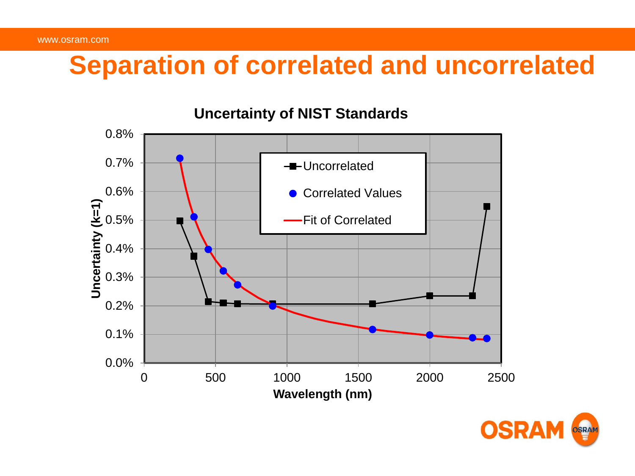# **Separation of correlated and uncorrelated**



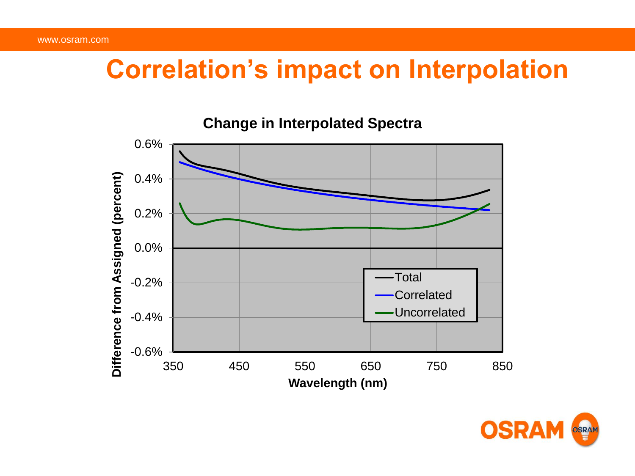#### **Correlation's impact on Interpolation**



#### **Change in Interpolated Spectra**

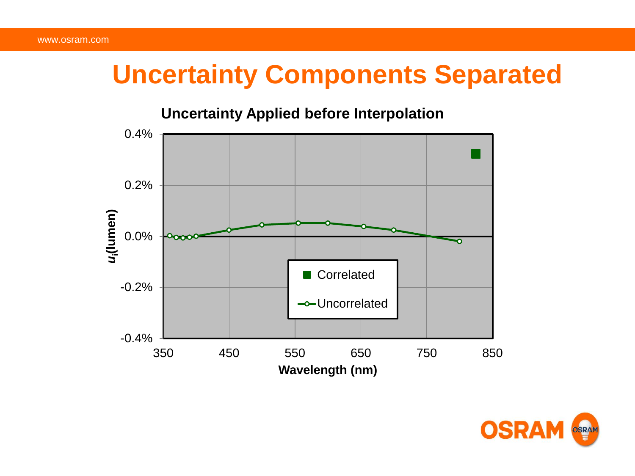# **Uncertainty Components Separated**

#### **Uncertainty Applied before Interpolation**



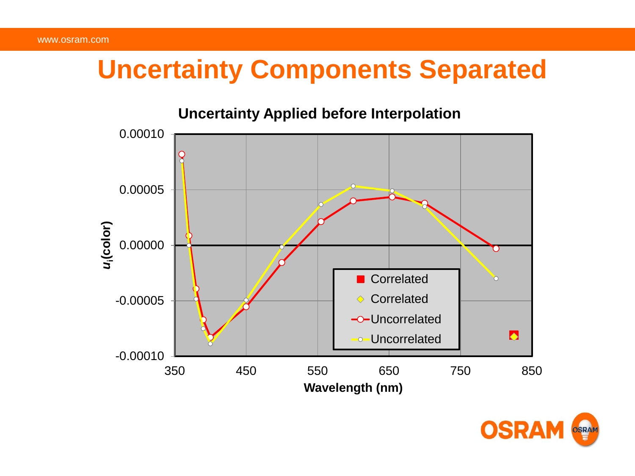# **Uncertainty Components Separated**

#### **Uncertainty Applied before Interpolation** 0.00010 0.00005 *u***i(color)** 0.00000 **Correlated** Ò ♦ Correlated -0.00005 -O-Uncorrelated  $\bullet$ **Uncorrelated** -0.00010 350 450 550 650 750 850 **Wavelength (nm)**

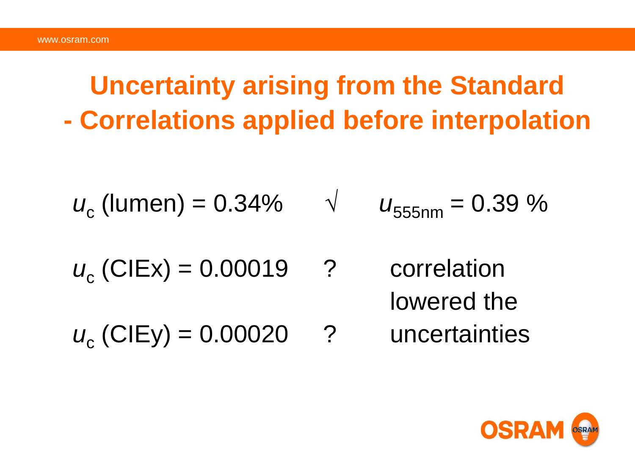# **Uncertainty arising from the Standard - Correlations applied before interpolation**

$$
u_c
$$
 (lumen) = 0.34%  $\sqrt{u_{555nm}} = 0.39$  %

- $u_c$  (CIEx) = 0.00019 ? correlation lowered the
- $u_c$  (CIEy) = 0.00020 ? uncertainties

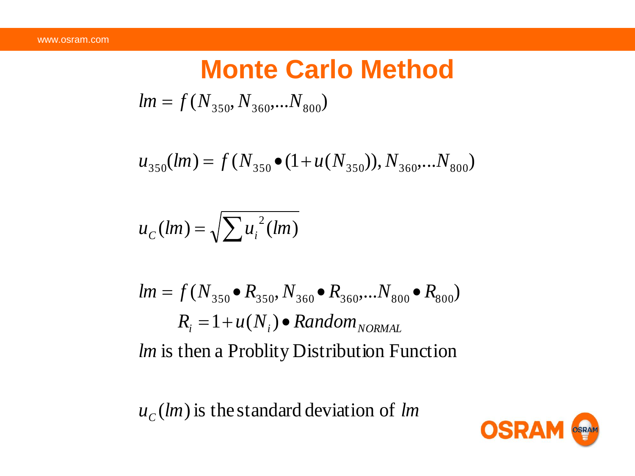# **Monte Carlo Method**  $lm = f(N_{350}, N_{360}, ... N_{800})$

$$
u_{350}(lm) = f(N_{350} \bullet (1 + u(N_{350})), N_{360},...N_{800})
$$

$$
u_C(lm) = \sqrt{\sum u_i^2(lm)}
$$

$$
lm = f(N_{350} \bullet R_{350}, N_{360} \bullet R_{360}, \dots N_{800} \bullet R_{800})
$$
  
\n $R_i = 1 + u(N_i) \bullet Random_{NORMAL}$   
\n*lm* is then a Probability Distribution Function

 $u_c(lm)$  is the standard deviation of *lm* 

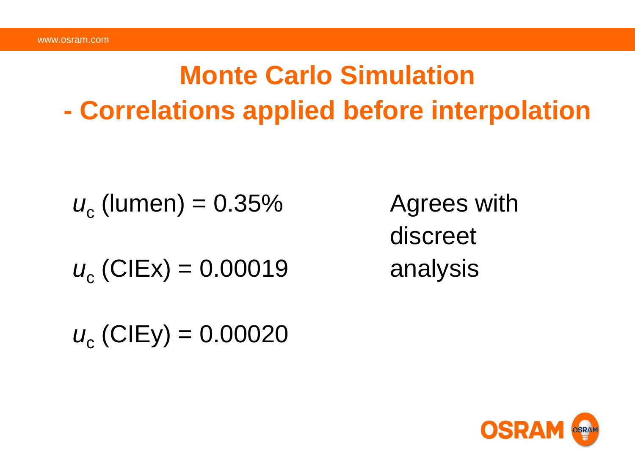# **Monte Carlo Simulation - Correlations applied before interpolation**

$$
u_c
$$
 (lumen) = 0.35%

 $u_c$  (CIEx) = 0.00019 analysis

Agrees with discreet

 $u_c$  (CIEy) = 0.00020